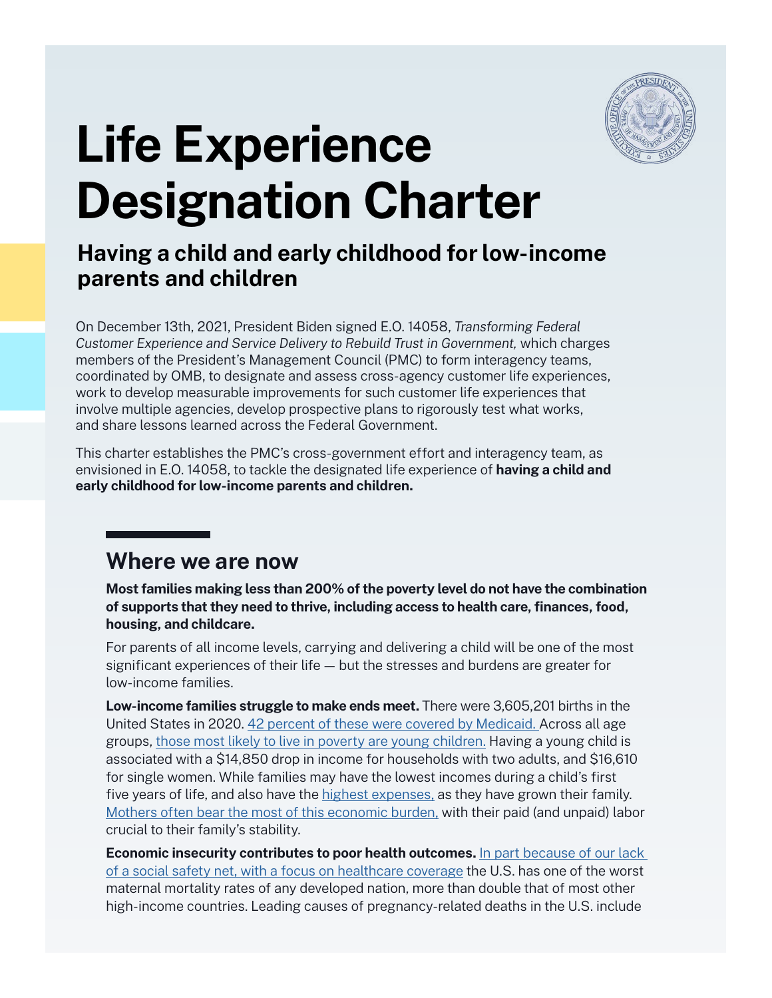

# **Life Experience Designation Charter**

## **Having a child and early childhood for low-income parents and children**

On December 13th, 2021, President Biden signed [E.O. 14058,](https://www.whitehouse.gov/briefing-room/presidential-actions/2021/12/13/executive-order-on-transforming-federal-customer-experience-and-service-delivery-to-rebuild-trust-in-government/) *Transforming Federal Customer Experience and Service Delivery to Rebuild Trust in Government,* which charges members of the President's Management Council (PMC) to form interagency teams, coordinated by OMB, to designate and assess cross-agency customer life experiences, work to develop measurable improvements for such customer life experiences that involve multiple agencies, develop prospective plans to rigorously test what works, and share lessons learned across the Federal Government.

This charter establishes the PMC's cross-government effort and interagency team, as envisioned in E.O. 14058, to tackle the designated life experience of **having a child and early childhood for low-income parents and children.**

#### **Where we are now**

**Most families making less than 200% of the poverty level do not have the combination of supports that they need to thrive, including access to health care, finances, food, housing, and childcare.** 

For parents of all income levels, carrying and delivering a child will be one of the most significant experiences of their life — but the stresses and burdens are greater for low-income families.

**Low-income families struggle to make ends meet.** There were 3,605,201 births in the United States in 2020. [42 percent of these were covered by Medicaid.](https://www.kff.org/medicaid/state-indicator/births-financed-by-medicaid/?currentTimeframe=0&selectedRows=%7B%22wrapups%22:%7B%22united-states%22:%7B%7D%7D%7D&sortModel=%7B%22colId%22:%22Location%22,%22sort%22:%22asc%22%7D) Across all age groups, [those most likely to live in poverty are young children](https://www.publichealth.columbia.edu/public-health-now/news/americas-youngest-children-most-likely-live-poor-economic-conditions). Having a young child is associated with a \$14,850 drop in income for households with two adults, and \$16,610 for single women. While families may have the lowest incomes during a child's first five years of life, and also have the [highest expenses,](https://files.eric.ed.gov/fulltext/EJ1293559.pdf) as they have grown their family. [Mothers often bear the most of this economic burden,](https://www.americanprogress.org/article/economics-caregiving-working-mothers/) with their paid (and unpaid) labor crucial to their family's stability.

**Economic insecurity contributes to poor health outcomes.** [In part because of our lack](https://www.commonwealthfund.org/publications/issue-briefs/2020/nov/maternal-mortality-maternity-care-us-compared-10-countries)  [of a social safety net,](https://www.commonwealthfund.org/publications/issue-briefs/2020/nov/maternal-mortality-maternity-care-us-compared-10-countries) with a focus on healthcare coverage the U.S. has one of the worst maternal mortality rates of any developed nation, more than double that of most other high-income countries. Leading causes of pregnancy-related deaths in the U.S. include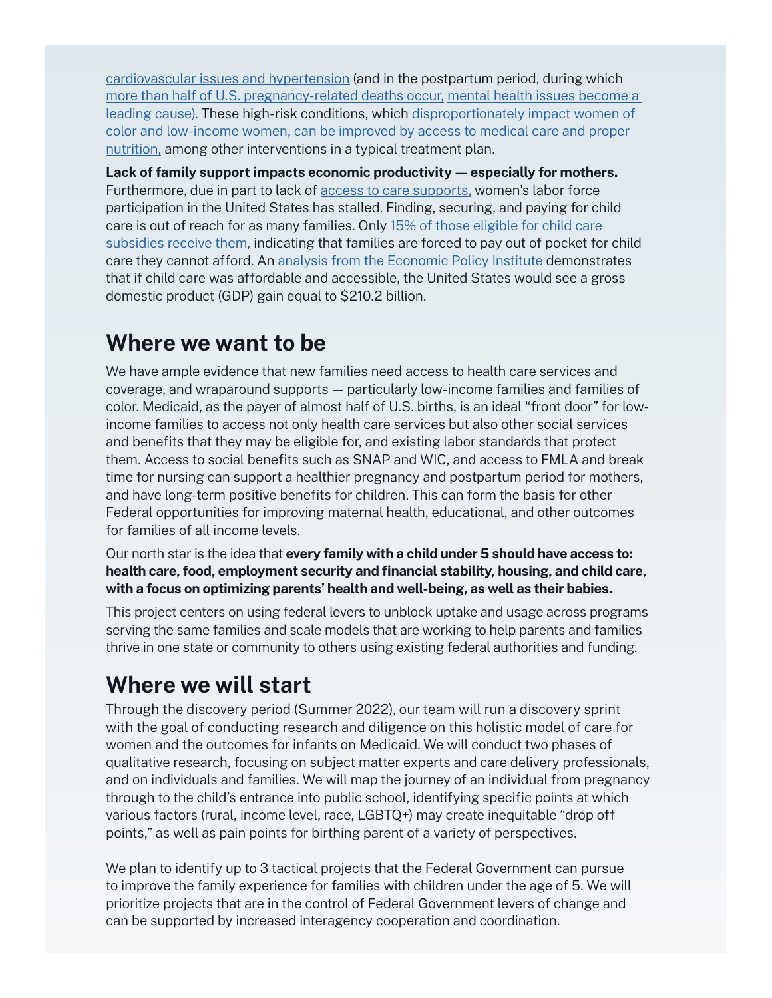[cardiovascular issues and hypertension](https://www.cdc.gov/reproductivehealth/maternal-mortality/pregnancy-mortality-surveillance-system.htm) (and in the postpartum period, during which [more than half of U.S. pregnancy-related deaths occur,](https://www.commonwealthfund.org/publications/issue-brief-report/2020/dec/maternal-mortality-united-states-primer#:~:text=Half%20of%20pregnancy%2Drelated%20deaths%20occur%20after%20the%20day%20of%20birth.&text=There%20are%20various%20causes%20of,a%20third%20occur%20during%20pregnancy.) [mental health issues become a](https://www.commonwealthfund.org/publications/issue-brief-report/2020/dec/maternal-mortality-united-states-primer#:~:text=Half%20of%20pregnancy%2Drelated%20deaths%20occur%20after%20the%20day%20of%20birth.&text=There%20are%20various%20causes%20of,a%20third%20occur%20during%20pregnancy.)  [leading cause\).](https://www.commonwealthfund.org/publications/issue-brief-report/2020/dec/maternal-mortality-united-states-primer#:~:text=Half%20of%20pregnancy%2Drelated%20deaths%20occur%20after%20the%20day%20of%20birth.&text=There%20are%20various%20causes%20of,a%20third%20occur%20during%20pregnancy.) These high-risk conditions, which [disproportionately impact women of](https://www.acog.org/clinical/clinical-guidance/practice-bulletin/articles/2019/05/pregnancy-and-heart-disease)  [color and low-income women,](https://www.acog.org/clinical/clinical-guidance/practice-bulletin/articles/2019/05/pregnancy-and-heart-disease) [can be improved by access to medical care and proper](https://www.ahajournals.org/doi/10.1161/CIR.0000000000000772)  [nutrition,](https://www.ahajournals.org/doi/10.1161/CIR.0000000000000772) among other interventions in a typical treatment plan.

**Lack of family support impacts economic productivity — especially for mothers.**  Furthermore, due in part to [lack of access to care](https://www.aeaweb.org/articles?id=10.1257/aer.103.3.251) supports, women's labor force participation in the United States has stalled. Finding, securing, and paying for child care is out of reach for as many families. Onl[y 15% of those eligible for child care](https://aspe.hhs.gov/sites/default/files/2021-08/cy-2018-child-care-subsidy-eligibility.pdf)  [subsidies receive them,](https://aspe.hhs.gov/sites/default/files/2021-08/cy-2018-child-care-subsidy-eligibility.pdf) indicating that families are forced to pay out of pocket for child care they cannot afford. An [analysis from the Economic Policy Institute](https://www.epi.org/publication/its-time-for-an-ambitious-national-investment-in-americas-children/) demonstrates that if child care was affordable and accessible, the United States would see a gross domestic product (GDP) gain equal to \$210.2 billion.

#### **Where we want to be**

We have ample evidence that new families need access to health care services and coverage, and wraparound supports — particularly low-income families and families of color. Medicaid, as the payer of almost half of U.S. births, is an ideal "front door" for lowincome families to access not only health care services but also other social services and benefits that they may be eligible for, and existing labor standards that protect them. Access to social benefits such as SNAP and WIC, and access to FMLA and break time for nursing can support a healthier pregnancy and postpartum period for mothers, and have long-term positive benefits for children. This can form the basis for other Federal opportunities for improving maternal health, educational, and other outcomes for families of all income levels.

Our north star is the idea that **every family with a child under 5 should have access to: health care, food, employment security and financial stability, housing, and child care, with a focus on optimizing parents' health and well-being, as well as their babies.**

This project centers on using federal levers to unblock uptake and usage across programs serving the same families and scale models that are working to help parents and families thrive in one state or community to others using existing federal authorities and funding.

# **Where we will start**

Through the discovery period (Summer 2022), our team will run a discovery sprint with the goal of conducting research and diligence on this holistic model of care for women and the outcomes for infants on Medicaid. We will conduct two phases of qualitative research, focusing on subject matter experts and care delivery professionals, and on individuals and families. We will map the journey of an individual from pregnancy through to the child's entrance into public school, identifying specific points at which various factors (rural, income level, race, LGBTQ+) may create inequitable "drop off points," as well as pain points for birthing parent of a variety of perspectives.

We plan to identify up to 3 tactical projects that the Federal Government can pursue to improve the family experience for families with children under the age of 5. We will prioritize projects that are in the control of Federal Government levers of change and can be supported by increased interagency cooperation and coordination.